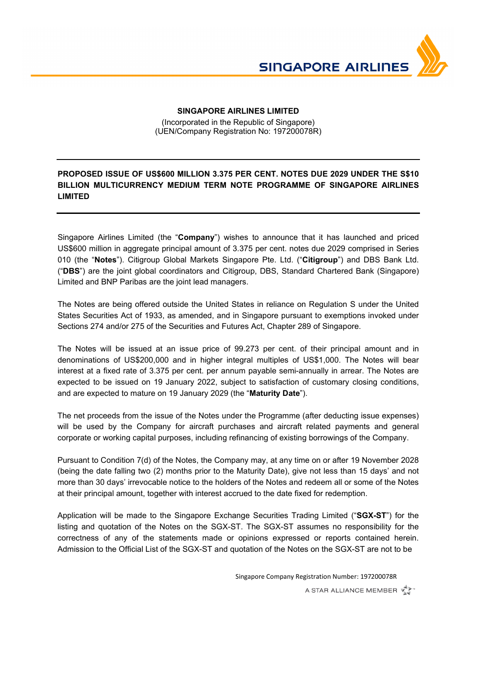

## **SINGAPORE AIRLINES LIMITED**

Ϊ

(Incorporated in the Republic of Singapore) (UEN/Company Registration No: 197200078R)

## **PROPOSED ISSUE OF US\$600 MILLION 3.375 PER CENT. NOTES DUE 2029 UNDER THE S\$10 BILLION MULTICURRENCY MEDIUM TERM NOTE PROGRAMME OF SINGAPORE AIRLINES LIMITED**

Singapore Airlines Limited (the "**Company**") wishes to announce that it has launched and priced US\$600 million in aggregate principal amount of 3.375 per cent. notes due 2029 comprised in Series 010 (the "**Notes**"). Citigroup Global Markets Singapore Pte. Ltd. ("**Citigroup**") and DBS Bank Ltd. ("**DBS**") are the joint global coordinators and Citigroup, DBS, Standard Chartered Bank (Singapore) Limited and BNP Paribas are the joint lead managers.

The Notes are being offered outside the United States in reliance on Regulation S under the United States Securities Act of 1933, as amended, and in Singapore pursuant to exemptions invoked under Sections 274 and/or 275 of the Securities and Futures Act, Chapter 289 of Singapore.

The Notes will be issued at an issue price of 99.273 per cent. of their principal amount and in denominations of US\$200,000 and in higher integral multiples of US\$1,000. The Notes will bear interest at a fixed rate of 3.375 per cent. per annum payable semi-annually in arrear. The Notes are expected to be issued on 19 January 2022, subject to satisfaction of customary closing conditions, and are expected to mature on 19 January 2029 (the "**Maturity Date**").

The net proceeds from the issue of the Notes under the Programme (after deducting issue expenses) will be used by the Company for aircraft purchases and aircraft related payments and general corporate or working capital purposes, including refinancing of existing borrowings of the Company.

Pursuant to Condition 7(d) of the Notes, the Company may, at any time on or after 19 November 2028 (being the date falling two (2) months prior to the Maturity Date), give not less than 15 days' and not more than 30 days' irrevocable notice to the holders of the Notes and redeem all or some of the Notes at their principal amount, together with interest accrued to the date fixed for redemption.

Application will be made to the Singapore Exchange Securities Trading Limited ("**SGX-ST**") for the listing and quotation of the Notes on the SGX-ST. The SGX-ST assumes no responsibility for the correctness of any of the statements made or opinions expressed or reports contained herein. Admission to the Official List of the SGX-ST and quotation of the Notes on the SGX-ST are not to be

Singapore Company Registration Number: 197200078R

A STAR ALLIANCE MEMBER